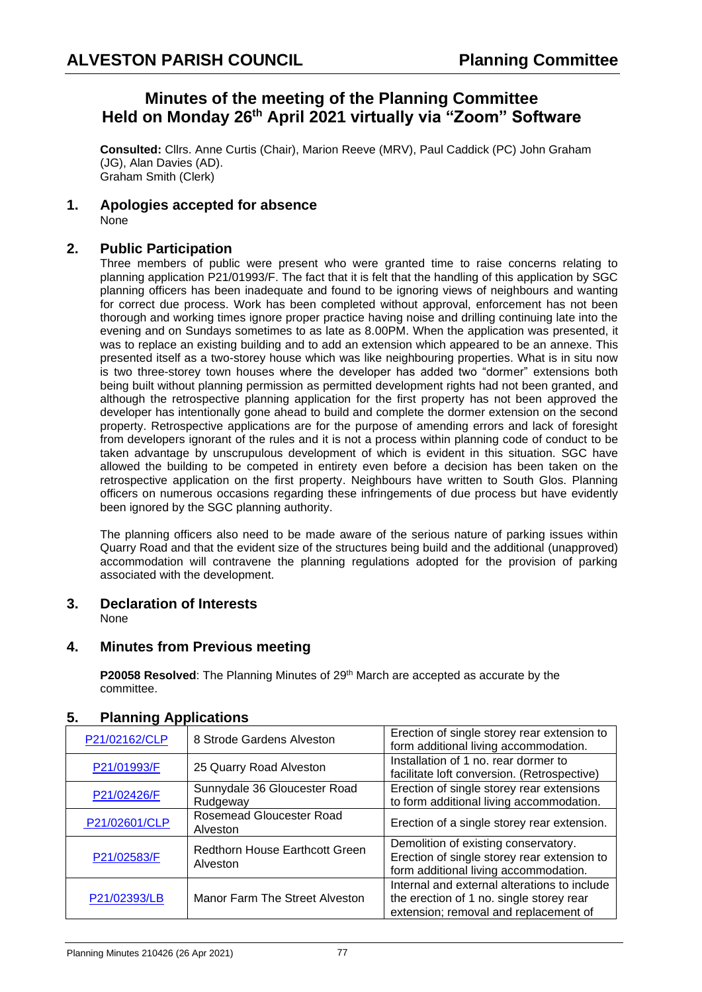## **Minutes of the meeting of the Planning Committee Held on Monday 26 th April 2021 virtually via "Zoom" Software**

**Consulted:** Cllrs. Anne Curtis (Chair), Marion Reeve (MRV), Paul Caddick (PC) John Graham (JG), Alan Davies (AD). Graham Smith (Clerk)

**1. Apologies accepted for absence** None

## **2. Public Participation**

Three members of public were present who were granted time to raise concerns relating to planning application P21/01993/F. The fact that it is felt that the handling of this application by SGC planning officers has been inadequate and found to be ignoring views of neighbours and wanting for correct due process. Work has been completed without approval, enforcement has not been thorough and working times ignore proper practice having noise and drilling continuing late into the evening and on Sundays sometimes to as late as 8.00PM. When the application was presented, it was to replace an existing building and to add an extension which appeared to be an annexe. This presented itself as a two-storey house which was like neighbouring properties. What is in situ now is two three-storey town houses where the developer has added two "dormer" extensions both being built without planning permission as permitted development rights had not been granted, and although the retrospective planning application for the first property has not been approved the developer has intentionally gone ahead to build and complete the dormer extension on the second property. Retrospective applications are for the purpose of amending errors and lack of foresight from developers ignorant of the rules and it is not a process within planning code of conduct to be taken advantage by unscrupulous development of which is evident in this situation. SGC have allowed the building to be competed in entirety even before a decision has been taken on the retrospective application on the first property. Neighbours have written to South Glos. Planning officers on numerous occasions regarding these infringements of due process but have evidently been ignored by the SGC planning authority.

The planning officers also need to be made aware of the serious nature of parking issues within Quarry Road and that the evident size of the structures being build and the additional (unapproved) accommodation will contravene the planning regulations adopted for the provision of parking associated with the development.

## **3. Declaration of Interests**

None

## **4. Minutes from Previous meeting**

**P20058 Resolved:** The Planning Minutes of 29<sup>th</sup> March are accepted as accurate by the committee.

| P21/02162/CLP | 8 Strode Gardens Alveston                         | Erection of single storey rear extension to<br>form additional living accommodation.                                              |
|---------------|---------------------------------------------------|-----------------------------------------------------------------------------------------------------------------------------------|
| P21/01993/F   | 25 Quarry Road Alveston                           | Installation of 1 no. rear dormer to<br>facilitate loft conversion. (Retrospective)                                               |
| P21/02426/F   | Sunnydale 36 Gloucester Road<br>Rudgeway          | Erection of single storey rear extensions<br>to form additional living accommodation.                                             |
| P21/02601/CLP | Rosemead Gloucester Road<br>Alveston              | Erection of a single storey rear extension.                                                                                       |
| P21/02583/F   | <b>Redthorn House Earthcott Green</b><br>Alveston | Demolition of existing conservatory.<br>Erection of single storey rear extension to<br>form additional living accommodation.      |
| P21/02393/LB  | Manor Farm The Street Alveston                    | Internal and external alterations to include<br>the erection of 1 no. single storey rear<br>extension; removal and replacement of |

## **5. Planning Applications**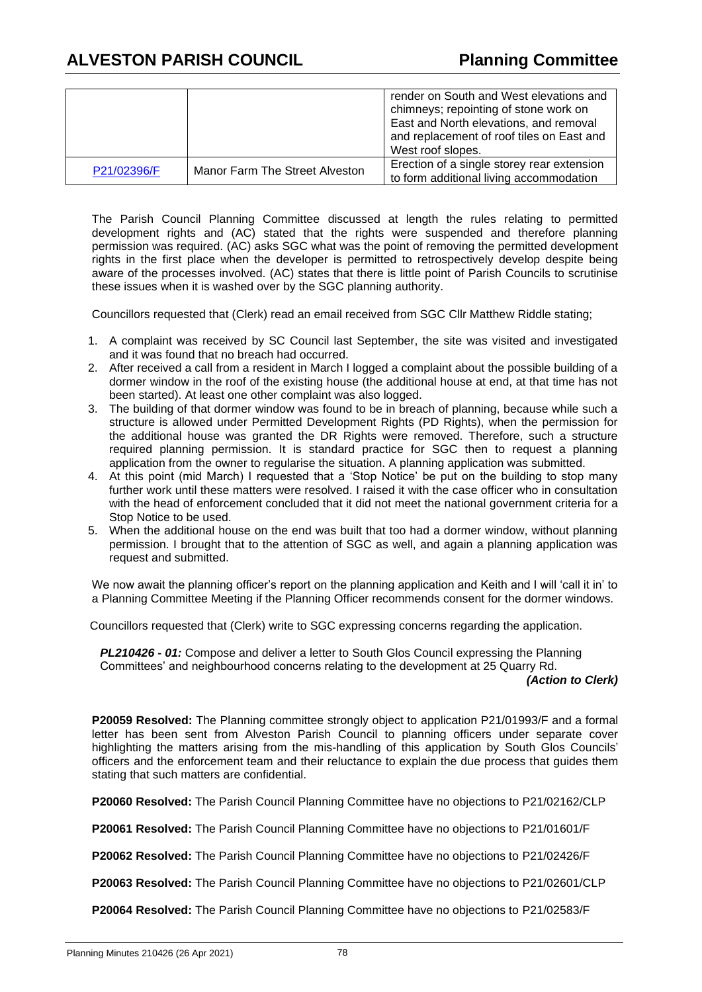|             |                                | render on South and West elevations and<br>chimneys; repointing of stone work on<br>East and North elevations, and removal<br>and replacement of roof tiles on East and<br>West roof slopes. |
|-------------|--------------------------------|----------------------------------------------------------------------------------------------------------------------------------------------------------------------------------------------|
| P21/02396/F | Manor Farm The Street Alveston | Erection of a single storey rear extension<br>to form additional living accommodation                                                                                                        |

The Parish Council Planning Committee discussed at length the rules relating to permitted development rights and (AC) stated that the rights were suspended and therefore planning permission was required. (AC) asks SGC what was the point of removing the permitted development rights in the first place when the developer is permitted to retrospectively develop despite being aware of the processes involved. (AC) states that there is little point of Parish Councils to scrutinise these issues when it is washed over by the SGC planning authority.

Councillors requested that (Clerk) read an email received from SGC Cllr Matthew Riddle stating;

- 1. A complaint was received by SC Council last September, the site was visited and investigated and it was found that no breach had occurred.
- 2. After received a call from a resident in March I logged a complaint about the possible building of a dormer window in the roof of the existing house (the additional house at end, at that time has not been started). At least one other complaint was also logged.
- 3. The building of that dormer window was found to be in breach of planning, because while such a structure is allowed under Permitted Development Rights (PD Rights), when the permission for the additional house was granted the DR Rights were removed. Therefore, such a structure required planning permission. It is standard practice for SGC then to request a planning application from the owner to regularise the situation. A planning application was submitted.
- 4. At this point (mid March) I requested that a 'Stop Notice' be put on the building to stop many further work until these matters were resolved. I raised it with the case officer who in consultation with the head of enforcement concluded that it did not meet the national government criteria for a Stop Notice to be used.
- 5. When the additional house on the end was built that too had a dormer window, without planning permission. I brought that to the attention of SGC as well, and again a planning application was request and submitted.

We now await the planning officer's report on the planning application and Keith and I will 'call it in' to a Planning Committee Meeting if the Planning Officer recommends consent for the dormer windows.

Councillors requested that (Clerk) write to SGC expressing concerns regarding the application.

*PL210426 - 01:* Compose and deliver a letter to South Glos Council expressing the Planning Committees' and neighbourhood concerns relating to the development at 25 Quarry Rd.

*(Action to Clerk)*

**P20059 Resolved:** The Planning committee strongly object to application P21/01993/F and a formal letter has been sent from Alveston Parish Council to planning officers under separate cover highlighting the matters arising from the mis-handling of this application by South Glos Councils' officers and the enforcement team and their reluctance to explain the due process that guides them stating that such matters are confidential.

**P20060 Resolved:** The Parish Council Planning Committee have no objections to P21/02162/CLP

**P20061 Resolved:** The Parish Council Planning Committee have no objections to P21/01601/F

**P20062 Resolved:** The Parish Council Planning Committee have no objections to P21/02426/F

**P20063 Resolved:** The Parish Council Planning Committee have no objections to P21/02601/CLP

**P20064 Resolved:** The Parish Council Planning Committee have no objections to P21/02583/F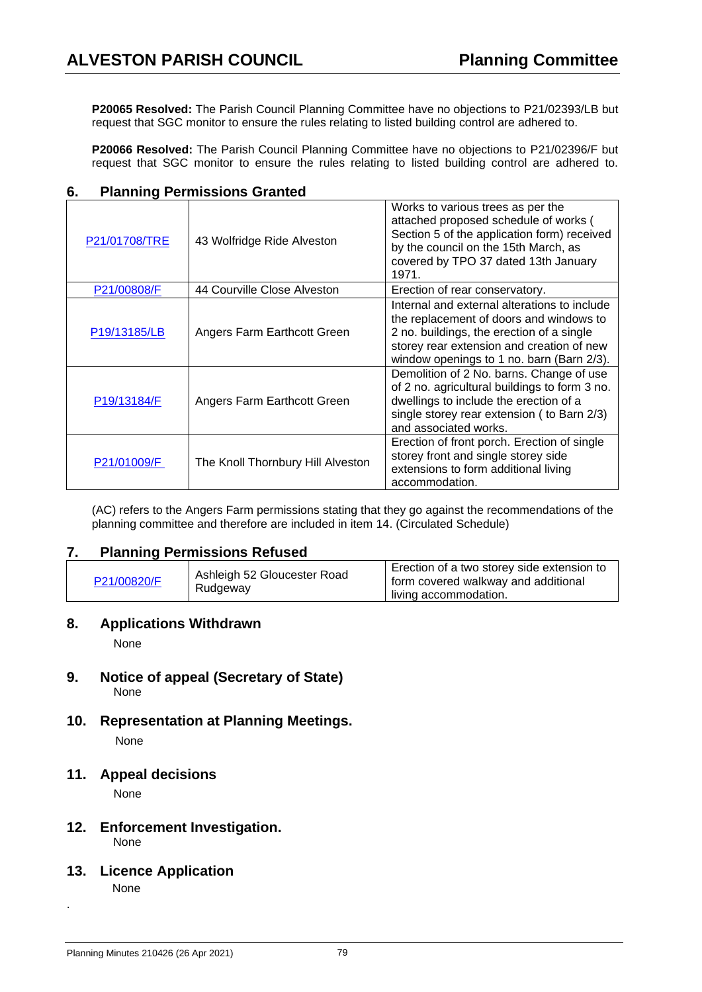**P20065 Resolved:** The Parish Council Planning Committee have no objections to P21/02393/LB but request that SGC monitor to ensure the rules relating to listed building control are adhered to.

**P20066 Resolved:** The Parish Council Planning Committee have no objections to P21/02396/F but request that SGC monitor to ensure the rules relating to listed building control are adhered to.

| P21/01708/TRE | 43 Wolfridge Ride Alveston        | Works to various trees as per the<br>attached proposed schedule of works (<br>Section 5 of the application form) received<br>by the council on the 15th March, as<br>covered by TPO 37 dated 13th January<br>1971.             |
|---------------|-----------------------------------|--------------------------------------------------------------------------------------------------------------------------------------------------------------------------------------------------------------------------------|
| P21/00808/F   | 44 Courville Close Alveston       | Erection of rear conservatory.                                                                                                                                                                                                 |
| P19/13185/LB  | Angers Farm Earthcott Green       | Internal and external alterations to include<br>the replacement of doors and windows to<br>2 no. buildings, the erection of a single<br>storey rear extension and creation of new<br>window openings to 1 no. barn (Barn 2/3). |
| P19/13184/F   | Angers Farm Earthcott Green       | Demolition of 2 No. barns. Change of use<br>of 2 no. agricultural buildings to form 3 no.<br>dwellings to include the erection of a<br>single storey rear extension ( to Barn 2/3)<br>and associated works.                    |
| P21/01009/F   | The Knoll Thornbury Hill Alveston | Erection of front porch. Erection of single<br>storey front and single storey side<br>extensions to form additional living<br>accommodation.                                                                                   |

## **6. Planning Permissions Granted**

(AC) refers to the Angers Farm permissions stating that they go against the recommendations of the planning committee and therefore are included in item 14. (Circulated Schedule)

#### **7. Planning Permissions Refused**

| P21/00820/F | Ashleigh 52 Gloucester Road<br>Rudgeway | Erection of a two storey side extension to<br>form covered walkway and additional<br>living accommodation. |
|-------------|-----------------------------------------|------------------------------------------------------------------------------------------------------------|
|-------------|-----------------------------------------|------------------------------------------------------------------------------------------------------------|

#### **8. Applications Withdrawn**

None

- **9. Notice of appeal (Secretary of State)**  None
- **10. Representation at Planning Meetings.**

None

#### **11. Appeal decisions**

None

## **12. Enforcement Investigation.**

None

#### **13. Licence Application**

None

.